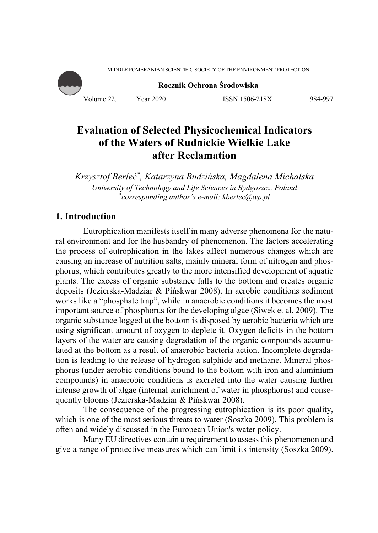MIDDLE POMERANIAN SCIENTIFIC SOCIETY OF THE ENVIRONMENT PROTECTION



# **Evaluation of Selected Physicochemical Indicators of the Waters of Rudnickie Wielkie Lake after Reclamation**

*Krzysztof Berleć\*, Katarzyna Budzińska, Magdalena Michalska University of Technology and Life Sciences in Bydgoszcz, Poland \* corresponding author's e-mail: kberlec@wp.pl* 

## **1. Introduction**

Eutrophication manifests itself in many adverse phenomena for the natural environment and for the husbandry of phenomenon. The factors accelerating the process of eutrophication in the lakes affect numerous changes which are causing an increase of nutrition salts, mainly mineral form of nitrogen and phosphorus, which contributes greatly to the more intensified development of aquatic plants. The excess of organic substance falls to the bottom and creates organic deposits (Jezierska-Madziar & Pińskwar 2008). In aerobic conditions sediment works like a "phosphate trap", while in anaerobic conditions it becomes the most important source of phosphorus for the developing algae (Siwek et al. 2009). The organic substance logged at the bottom is disposed by aerobic bacteria which are using significant amount of oxygen to deplete it. Oxygen deficits in the bottom layers of the water are causing degradation of the organic compounds accumulated at the bottom as a result of anaerobic bacteria action. Incomplete degradation is leading to the release of hydrogen sulphide and methane. Mineral phosphorus (under aerobic conditions bound to the bottom with iron and aluminium compounds) in anaerobic conditions is excreted into the water causing further intense growth of algae (internal enrichment of water in phosphorus) and consequently blooms (Jezierska-Madziar & Pińskwar 2008).

The consequence of the progressing eutrophication is its poor quality, which is one of the most serious threats to water (Soszka 2009). This problem is often and widely discussed in the European Union's water policy.

Many EU directives contain a requirement to assess this phenomenon and give a range of protective measures which can limit its intensity (Soszka 2009).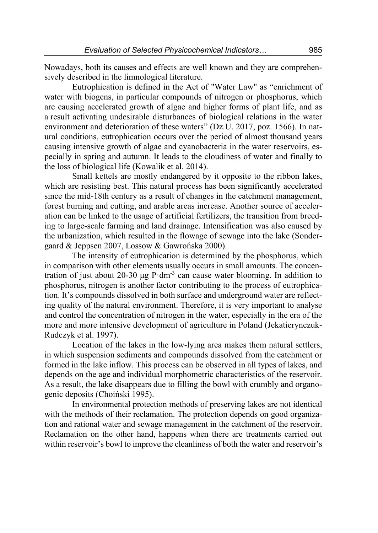Nowadays, both its causes and effects are well known and they are comprehensively described in the limnological literature.

Eutrophication is defined in the Act of "Water Law" as "enrichment of water with biogens, in particular compounds of nitrogen or phosphorus, which are causing accelerated growth of algae and higher forms of plant life, and as a result activating undesirable disturbances of biological relations in the water environment and deterioration of these waters" (Dz.U. 2017, poz. 1566). In natural conditions, eutrophication occurs over the period of almost thousand years causing intensive growth of algae and cyanobacteria in the water reservoirs, especially in spring and autumn. It leads to the cloudiness of water and finally to the loss of biological life (Kowalik et al. 2014).

Small kettels are mostly endangered by it opposite to the ribbon lakes, which are resisting best. This natural process has been significantly accelerated since the mid-18th century as a result of changes in the catchment management, forest burning and cutting, and arable areas increase. Another source of acceleration can be linked to the usage of artificial fertilizers, the transition from breeding to large-scale farming and land drainage. Intensification was also caused by the urbanization, which resulted in the flowage of sewage into the lake (Sondergaard & Jeppsen 2007, Lossow & Gawrońska 2000).

The intensity of eutrophication is determined by the phosphorus, which in comparison with other elements usually occurs in small amounts. The concentration of just about 20-30 μg  $P$ ·dm<sup>-3</sup> can cause water blooming. In addition to phosphorus, nitrogen is another factor contributing to the process of eutrophication. It's compounds dissolved in both surface and underground water are reflecting quality of the natural environment. Therefore, it is very important to analyse and control the concentration of nitrogen in the water, especially in the era of the more and more intensive development of agriculture in Poland (Jekatierynczuk-Rudczyk et al. 1997).

Location of the lakes in the low-lying area makes them natural settlers, in which suspension sediments and compounds dissolved from the catchment or formed in the lake inflow. This process can be observed in all types of lakes, and depends on the age and individual morphometric characteristics of the reservoir. As a result, the lake disappears due to filling the bowl with crumbly and organogenic deposits (Choiński 1995).

In environmental protection methods of preserving lakes are not identical with the methods of their reclamation. The protection depends on good organization and rational water and sewage management in the catchment of the reservoir. Reclamation on the other hand, happens when there are treatments carried out within reservoir's bowl to improve the cleanliness of both the water and reservoir's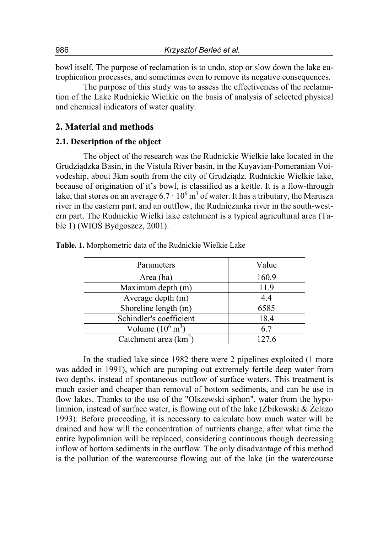bowl itself. The purpose of reclamation is to undo, stop or slow down the lake eutrophication processes, and sometimes even to remove its negative consequences.

The purpose of this study was to assess the effectiveness of the reclamation of the Lake Rudnickie Wielkie on the basis of analysis of selected physical and chemical indicators of water quality.

## **2. Material and methods**

#### **2.1. Description of the object**

The object of the research was the Rudnickie Wielkie lake located in the Grudziądzka Basin, in the Vistula River basin, in the Kuyavian-Pomeranian Voivodeship, about 3km south from the city of Grudziądz. Rudnickie Wielkie lake, because of origination of it's bowl, is classified as a kettle. It is a flow-through lake, that stores on an average  $6.7 \cdot 10^6$  m<sup>3</sup> of water. It has a tributary, the Marusza river in the eastern part, and an outflow, the Rudniczanka river in the south-western part. The Rudnickie Wielki lake catchment is a typical agricultural area (Table 1) (WIOŚ Bydgoszcz, 2001).

| Parameters                  | Value |
|-----------------------------|-------|
| Area (ha)                   | 160.9 |
| Maximum depth (m)           | 11.9  |
| Average depth (m)           | 4.4   |
| Shoreline length (m)        | 6585  |
| Schindler's coefficient     | 18.4  |
| Volume $(10^6 \text{ m}^3)$ | 6.7   |
| Catchment area $(km^2)$     | 127.6 |

**Table. 1.** Morphometric data of the Rudnickie Wielkie Lake

In the studied lake since 1982 there were 2 pipelines exploited (1 more was added in 1991), which are pumping out extremely fertile deep water from two depths, instead of spontaneous outflow of surface waters. This treatment is much easier and cheaper than removal of bottom sediments, and can be use in flow lakes. Thanks to the use of the "Olszewski siphon", water from the hypolimnion, instead of surface water, is flowing out of the lake (Żbikowski & Żelazo 1993). Before proceeding, it is necessary to calculate how much water will be drained and how will the concentration of nutrients change, after what time the entire hypolimnion will be replaced, considering continuous though decreasing inflow of bottom sediments in the outflow. The only disadvantage of this method is the pollution of the watercourse flowing out of the lake (in the watercourse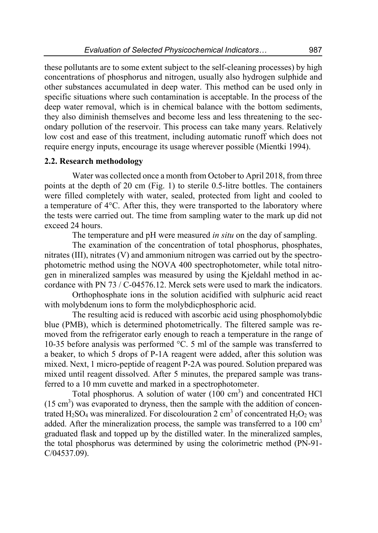these pollutants are to some extent subject to the self-cleaning processes) by high concentrations of phosphorus and nitrogen, usually also hydrogen sulphide and other substances accumulated in deep water. This method can be used only in specific situations where such contamination is acceptable. In the process of the deep water removal, which is in chemical balance with the bottom sediments, they also diminish themselves and become less and less threatening to the secondary pollution of the reservoir. This process can take many years. Relatively low cost and ease of this treatment, including automatic runoff which does not require energy inputs, encourage its usage wherever possible (Mientki 1994).

## **2.2. Research methodology**

Water was collected once a month from October to April 2018, from three points at the depth of 20 cm (Fig. 1) to sterile 0.5-litre bottles. The containers were filled completely with water, sealed, protected from light and cooled to a temperature of 4°C. After this, they were transported to the laboratory where the tests were carried out. The time from sampling water to the mark up did not exceed 24 hours.

The temperature and pH were measured *in situ* on the day of sampling.

The examination of the concentration of total phosphorus, phosphates, nitrates (III), nitrates (V) and ammonium nitrogen was carried out by the spectrophotometric method using the NOVA 400 spectrophotometer, while total nitrogen in mineralized samples was measured by using the Kjeldahl method in accordance with PN 73 / C-04576.12. Merck sets were used to mark the indicators.

Orthophosphate ions in the solution acidified with sulphuric acid react with molybdenum ions to form the molybdicphosphoric acid.

The resulting acid is reduced with ascorbic acid using phosphomolybdic blue (PMB), which is determined photometrically. The filtered sample was removed from the refrigerator early enough to reach a temperature in the range of 10-35 before analysis was performed °C. 5 ml of the sample was transferred to a beaker, to which 5 drops of P-1A reagent were added, after this solution was mixed. Next, 1 micro-peptide of reagent P-2A was poured. Solution prepared was mixed until reagent dissolved. After 5 minutes, the prepared sample was transferred to a 10 mm cuvette and marked in a spectrophotometer.

Total phosphorus. A solution of water  $(100 \text{ cm}^3)$  and concentrated HCl  $(15 \text{ cm}^3)$  was evaporated to dryness, then the sample with the addition of concentrated H<sub>2</sub>SO<sub>4</sub> was mineralized. For discolouration 2 cm<sup>3</sup> of concentrated H<sub>2</sub>O<sub>2</sub> was added. After the mineralization process, the sample was transferred to a  $100 \text{ cm}^3$ graduated flask and topped up by the distilled water. In the mineralized samples, the total phosphorus was determined by using the colorimetric method (PN-91- C/04537.09).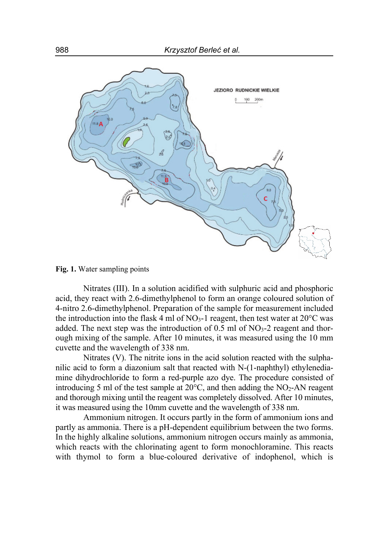

**Fig. 1.** Water sampling points

Nitrates (III). In a solution acidified with sulphuric acid and phosphoric acid, they react with 2.6-dimethylphenol to form an orange coloured solution of 4-nitro 2.6-dimethylphenol. Preparation of the sample for measurement included the introduction into the flask 4 ml of  $NO<sub>3</sub>$ -1 reagent, then test water at  $20^{\circ}$ C was added. The next step was the introduction of  $0.5$  ml of NO<sub>3</sub>-2 reagent and thorough mixing of the sample. After 10 minutes, it was measured using the 10 mm cuvette and the wavelength of 338 nm.

Nitrates (V). The nitrite ions in the acid solution reacted with the sulphanilic acid to form a diazonium salt that reacted with N-(1-naphthyl) ethylenediamine dihydrochloride to form a red-purple azo dye. The procedure consisted of introducing 5 ml of the test sample at  $20^{\circ}$ C, and then adding the NO<sub>2</sub>-AN reagent and thorough mixing until the reagent was completely dissolved. After 10 minutes, it was measured using the 10mm cuvette and the wavelength of 338 nm.

Ammonium nitrogen. It occurs partly in the form of ammonium ions and partly as ammonia. There is a pH-dependent equilibrium between the two forms. In the highly alkaline solutions, ammonium nitrogen occurs mainly as ammonia, which reacts with the chlorinating agent to form monochloramine. This reacts with thymol to form a blue-coloured derivative of indophenol, which is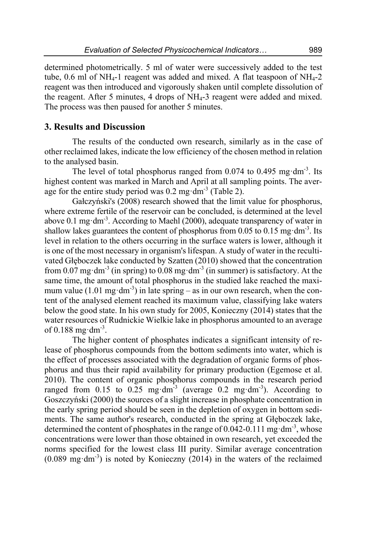determined photometrically. 5 ml of water were successively added to the test tube, 0.6 ml of  $NH_{4-1}$  reagent was added and mixed. A flat teaspoon of  $NH_{4-2}$ reagent was then introduced and vigorously shaken until complete dissolution of the reagent. After 5 minutes, 4 drops of NH4-3 reagent were added and mixed. The process was then paused for another 5 minutes.

## **3. Results and Discussion**

The results of the conducted own research, similarly as in the case of other reclaimed lakes, indicate the low efficiency of the chosen method in relation to the analysed basin.

The level of total phosphorus ranged from  $0.074$  to  $0.495$  mg $\cdot$ dm<sup>-3</sup>. Its highest content was marked in March and April at all sampling points. The average for the entire study period was  $0.2$  mg $\cdot$ dm<sup>-3</sup> (Table 2).

Gałczyński's (2008) research showed that the limit value for phosphorus, where extreme fertile of the reservoir can be concluded, is determined at the level above 0.1 mg $\cdot$ dm<sup>-3</sup>. According to Maehl (2000), adequate transparency of water in shallow lakes guarantees the content of phosphorus from  $0.05$  to  $0.15$  mg $\cdot$ dm<sup>-3</sup>. Its level in relation to the others occurring in the surface waters is lower, although it is one of the most necessary in organism's lifespan. A study of water in the recultivated Głęboczek lake conducted by Szatten (2010) showed that the concentration from 0.07 mg·dm<sup>-3</sup> (in spring) to 0.08 mg·dm<sup>-3</sup> (in summer) is satisfactory. At the same time, the amount of total phosphorus in the studied lake reached the maximum value (1.01 mg $dm^{-3}$ ) in late spring – as in our own research, when the content of the analysed element reached its maximum value, classifying lake waters below the good state. In his own study for 2005, Konieczny (2014) states that the water resources of Rudnickie Wielkie lake in phosphorus amounted to an average of  $0.188$  mg·dm<sup>-3</sup>.

The higher content of phosphates indicates a significant intensity of release of phosphorus compounds from the bottom sediments into water, which is the effect of processes associated with the degradation of organic forms of phosphorus and thus their rapid availability for primary production (Egemose et al. 2010). The content of organic phosphorus compounds in the research period ranged from 0.15 to 0.25 mg·dm<sup>-3</sup> (average  $0.2$  mg·dm<sup>-3</sup>). According to Goszczyński (2000) the sources of a slight increase in phosphate concentration in the early spring period should be seen in the depletion of oxygen in bottom sediments. The same author's research, conducted in the spring at Głęboczek lake, determined the content of phosphates in the range of 0.042-0.111 mg·dm<sup>-3</sup>, whose concentrations were lower than those obtained in own research, yet exceeded the norms specified for the lowest class III purity. Similar average concentration  $(0.089 \text{ mg} \cdot \text{dm}^3)$  is noted by Konieczny (2014) in the waters of the reclaimed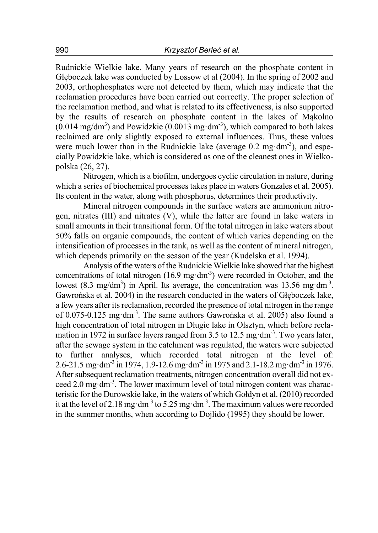Rudnickie Wielkie lake. Many years of research on the phosphate content in Głęboczek lake was conducted by Lossow et al (2004). In the spring of 2002 and 2003, orthophosphates were not detected by them, which may indicate that the reclamation procedures have been carried out correctly. The proper selection of the reclamation method, and what is related to its effectiveness, is also supported by the results of research on phosphate content in the lakes of Mąkolno  $(0.014 \text{ mg/dm}^3)$  and Powidzkie  $(0.0013 \text{ mg} \cdot \text{dm}^3)$ , which compared to both lakes reclaimed are only slightly exposed to external influences. Thus, these values were much lower than in the Rudnickie lake (average  $0.2 \text{ mg} \cdot \text{dm}^{-3}$ ), and especially Powidzkie lake, which is considered as one of the cleanest ones in Wielkopolska (26, 27).

Nitrogen, which is a biofilm, undergoes cyclic circulation in nature, during which a series of biochemical processes takes place in waters Gonzales et al. 2005). Its content in the water, along with phosphorus, determines their productivity.

Mineral nitrogen compounds in the surface waters are ammonium nitrogen, nitrates (III) and nitrates (V), while the latter are found in lake waters in small amounts in their transitional form. Of the total nitrogen in lake waters about 50% falls on organic compounds, the content of which varies depending on the intensification of processes in the tank, as well as the content of mineral nitrogen, which depends primarily on the season of the year (Kudelska et al. 1994).

Analysis of the waters of the Rudnickie Wielkie lake showed that the highest concentrations of total nitrogen  $(16.9 \text{ mg} \cdot \text{dm}^{-3})$  were recorded in October, and the lowest (8.3 mg/dm<sup>3</sup>) in April. Its average, the concentration was 13.56 mg·dm<sup>-3</sup>. Gawrońska et al. 2004) in the research conducted in the waters of Głęboczek lake, a few years after its reclamation, recorded the presence of total nitrogen in the range of 0.075-0.125 mgꞏdm-3. The same authors Gawrońska et al. 2005) also found a high concentration of total nitrogen in Długie lake in Olsztyn, which before reclamation in 1972 in surface layers ranged from 3.5 to 12.5 mg·dm<sup>-3</sup>. Two years later, after the sewage system in the catchment was regulated, the waters were subjected to further analyses, which recorded total nitrogen at the level of: 2.6-21.5 mg⋅dm<sup>-3</sup> in 1974, 1.9-12.6 mg⋅dm<sup>-3</sup> in 1975 and 2.1-18.2 mg⋅dm<sup>-3</sup> in 1976. After subsequent reclamation treatments, nitrogen concentration overall did not exceed 2.0 mg $\cdot$ dm<sup>-3</sup>. The lower maximum level of total nitrogen content was characteristic for the Durowskie lake, in the waters of which Gołdyn et al. (2010) recorded it at the level of 2.18 mg $\cdot$ dm<sup>-3</sup> to 5.25 mg $\cdot$ dm<sup>-3</sup>. The maximum values were recorded in the summer months, when according to Dojlido (1995) they should be lower.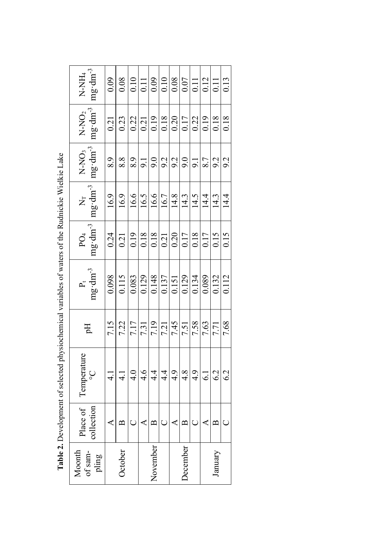| $N-NO2$<br>$mg \cdot dm^{-3}$<br>$mg \cdot dm^{-3}$<br>$N-NO3$ | 0.21<br>8.9   | 0.23<br>$8.8\,$     |          | $\frac{0.22}{0.21}$<br>$\frac{8.9}{9.1}$ |                   |                                                                                                              |                |                                |                     |      | $\frac{ 3 }{ 3 }$     | 9.2  |
|----------------------------------------------------------------|---------------|---------------------|----------|------------------------------------------|-------------------|--------------------------------------------------------------------------------------------------------------|----------------|--------------------------------|---------------------|------|-----------------------|------|
| $\frac{N_T}{mg \cdot dm^{-3}}$                                 | 16.9          | $\frac{16.9}{16.6}$ |          |                                          |                   | $\frac{16.5}{16.6}$                                                                                          |                | $\frac{14.3}{14.4}$            |                     |      | $\frac{14.3}{14.4}$   |      |
| $mg \cdot dm^{-3}$<br>PO <sub>4</sub>                          | 0.24          | $\frac{0.21}{0.19}$ |          |                                          |                   | $\frac{ 8 }{ 3 3 2 0 }$                                                                                      |                | $\frac{17}{\frac{0.18}{0.17}}$ |                     |      | $\frac{5}{15}$        |      |
| $P_t$<br>mg·dm <sup>-3</sup>                                   | 0.098         | 0.115               | 0.083    | $\overline{0.129}$                       |                   | $\begin{array}{r l} 6.148 \\ 1.137 \\ 0.151 \\ \hline 0.129 \\ 0.134 \\ \hline 0.0134 \\ \hline \end{array}$ |                |                                |                     |      | $\frac{0.132}{0.112}$ |      |
| Eq                                                             | 7.15          | $\frac{7.22}{7.17}$ |          | 7.31                                     |                   | $\frac{7.19}{7.21}$                                                                                          | 7.45           |                                | $\frac{7.51}{7.58}$ | 7.63 | 7.71                  | 7.68 |
| Temperature<br>$\mathcal{S}$                                   | $\frac{1}{4}$ | $\frac{1}{4}$       | 4.0      | 4.6                                      | 4.4               |                                                                                                              | $rac{4}{4}$ .9 | $\frac{4.8}{4.9}$              |                     |      | 6.2                   | 6.2  |
| Place of<br>collection                                         |               | $\mathbf{\Omega}$   | $\cup$   | ⋖                                        | $\mathbf{\Omega}$ | Ō                                                                                                            | ∢              | $\mathbf{\Omega}$              | $\cup$              | ⋖    | $\mathbf{\Omega}$     |      |
| October<br>Moonth<br>of sam-<br>pling                          |               |                     | November |                                          |                   | <b>December</b>                                                                                              |                |                                | January             |      |                       |      |

Table 2. Development of selected physiochemical variables of waters of the Rudnickie Wielkie Lake **Table 2.** Development of selected physiochemical variables of waters of the Rudnickie Wielkie Lake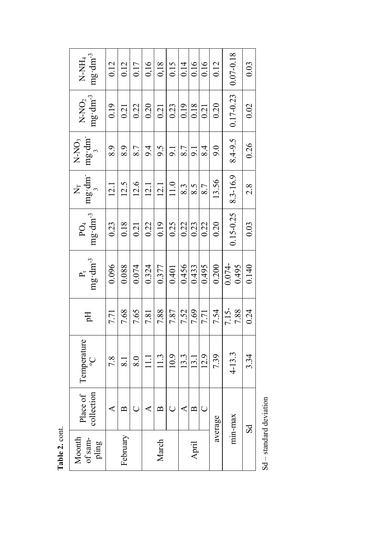| $mg \cdot dm^{-3}$<br>N-NH <sub>4</sub>         | 0.12     | 0.12             | 0.17  | 0,16  | 0,18  | 0.15   | 0.14  | 0.16         | 0.16  | 0.12    | $0.07 - 0.18$      | 0.03  |
|-------------------------------------------------|----------|------------------|-------|-------|-------|--------|-------|--------------|-------|---------|--------------------|-------|
| $mg \cdot dm^{-3}$<br>N-NO <sub>2</sub>         | 0.19     | 0.21             | 0.22  | 0.20  | 0.21  | 0.23   | 0.19  | 0.18         | 0.21  | 0.20    | 0.17-0.23          | 0.02  |
| $mg \cdot dm$ <sup>-</sup><br>N-NO <sub>3</sub> | 8.9      | 8.9              | 8.7   | 9.4   | 9.5   | 9.1    | 8.7   | 9.1          | 8.4   | 9.0     | 8.4-9.5            | 0.26  |
| mg·dm <sup>-</sup><br>Ż<br>$\frac{1}{2}$        | 12.1     | 12.5             | 12.6  | 12.1  | 12.1  | $11.0$ | 8.3   | 8.5          | 8.7   | 13.56   | 8.3-16.9           | 2.8   |
| $mg \cdot dm^{-3}$<br>PO <sub>4</sub>           | 0.23     | 0.18             | 0.21  | 0.22  | 0.19  | 0.25   | 0.22  | 0.23         | 0.22  | 0.20    | $0.15 - 0.25$      | 0.03  |
| $mg \cdot dm^{-3}$<br>$\mathbf{p}^{\mu}_{\mu}$  | 0.096    | 0.088            | 0.074 | 0.324 | 0.377 | 0.401  | 0.456 | 0.433        | 0.495 | 0.200   | $0.074 -$<br>0.495 | 0.140 |
| Ę                                               | 7.71     | 7.68             | 7.65  | 7.81  | 7.88  | 7.87   | 7.52  | 7.69         | 7.71  | 7.54    | $7.15 -$<br>7.88   | 0.24  |
| Temperature<br>ပွ                               | 7.8      | $\overline{8.1}$ | 8.0   | $\Xi$ | 11.3  | 10.9   | 13.3  | 13.1         | 12.9  | 7.39    | $4 - 13.3$         | 3.34  |
| Place of<br>collection                          |          | ≃                |       |       | ≃     |        |       | $\mathbf{a}$ |       | average | min-max            |       |
| of sam-<br>Moonth<br>pling                      | February |                  |       | March |       |        | April |              |       |         |                    | ವ     |

 $\operatorname{\mathbf{Sd}}$  – standard deviation Sd – standard deviation

Table 2. cont. **Table 2.** cont.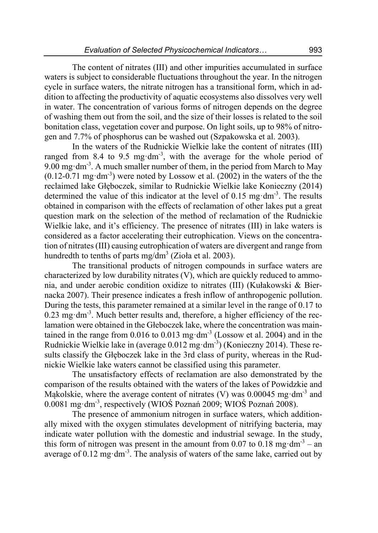The content of nitrates (III) and other impurities accumulated in surface waters is subject to considerable fluctuations throughout the year. In the nitrogen cycle in surface waters, the nitrate nitrogen has a transitional form, which in addition to affecting the productivity of aquatic ecosystems also dissolves very well in water. The concentration of various forms of nitrogen depends on the degree of washing them out from the soil, and the size of their losses is related to the soil bonitation class, vegetation cover and purpose. On light soils, up to 98% of nitrogen and 7.7% of phosphorus can be washed out (Szpakowska et al. 2003).

In the waters of the Rudnickie Wielkie lake the content of nitrates (III) ranged from 8.4 to 9.5 mg $dm^{-3}$ , with the average for the whole period of 9.00 mg·dm<sup>-3</sup>. A much smaller number of them, in the period from March to May  $(0.12-0.71 \text{ mg} \cdot \text{dm}^{-3})$  were noted by Lossow et al. (2002) in the waters of the the reclaimed lake Głęboczek, similar to Rudnickie Wielkie lake Konieczny (2014) determined the value of this indicator at the level of  $0.15 \text{ mg} \cdot \text{dm}^{-3}$ . The results obtained in comparison with the effects of reclamation of other lakes put a great question mark on the selection of the method of reclamation of the Rudnickie Wielkie lake, and it's efficiency. The presence of nitrates (III) in lake waters is considered as a factor accelerating their eutrophication. Views on the concentration of nitrates (III) causing eutrophication of waters are divergent and range from hundredth to tenths of parts mg/dm<sup>3</sup> (Zioła et al. 2003).

The transitional products of nitrogen compounds in surface waters are characterized by low durability nitrates (V), which are quickly reduced to ammonia, and under aerobic condition oxidize to nitrates (III) (Kułakowski & Biernacka 2007). Their presence indicates a fresh inflow of anthropogenic pollution. During the tests, this parameter remained at a similar level in the range of 0.17 to  $0.23$  mg $\cdot$ dm<sup>-3</sup>. Much better results and, therefore, a higher efficiency of the reclamation were obtained in the Głeboczek lake, where the concentration was maintained in the range from  $0.016$  to  $0.013$  mg $dm<sup>3</sup>$  (Lossow et al. 2004) and in the Rudnickie Wielkie lake in (average  $0.012 \text{ mg} \cdot \text{dm}^{-3}$ ) (Konieczny 2014). These results classify the Głęboczek lake in the 3rd class of purity, whereas in the Rudnickie Wielkie lake waters cannot be classified using this parameter.

The unsatisfactory effects of reclamation are also demonstrated by the comparison of the results obtained with the waters of the lakes of Powidzkie and Mąkolskie, where the average content of nitrates (V) was  $0.00045$  mg·dm<sup>-3</sup> and 0.0081 mgꞏdm-3, respectively (WIOŚ Poznań 2009; WIOŚ Poznań 2008).

The presence of ammonium nitrogen in surface waters, which additionally mixed with the oxygen stimulates development of nitrifying bacteria, may indicate water pollution with the domestic and industrial sewage. In the study, this form of nitrogen was present in the amount from 0.07 to  $0.\overline{18}$  mg·dm<sup>-3</sup> – an average of  $0.12 \text{ mg} \cdot \text{dm}^3$ . The analysis of waters of the same lake, carried out by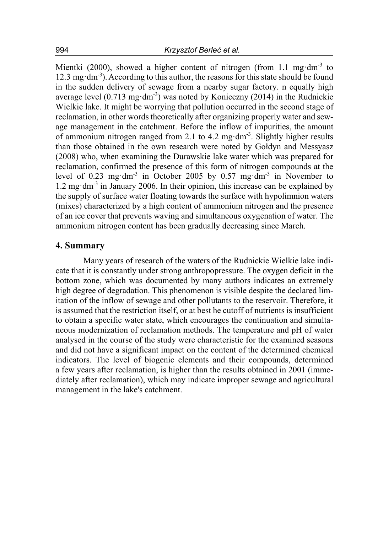Mientki (2000), showed a higher content of nitrogen (from 1.1 mg·dm<sup>-3</sup> to 12.3 mg $dm^{-3}$ ). According to this author, the reasons for this state should be found in the sudden delivery of sewage from a nearby sugar factory. n equally high average level  $(0.713 \text{ mg} \cdot \text{dm}^3)$  was noted by Konieczny (2014) in the Rudnickie Wielkie lake. It might be worrying that pollution occurred in the second stage of reclamation, in other words theoretically after organizing properly water and sewage management in the catchment. Before the inflow of impurities, the amount of ammonium nitrogen ranged from 2.1 to 4.2 mg $dm<sup>3</sup>$ . Slightly higher results than those obtained in the own research were noted by Gołdyn and Messyasz (2008) who, when examining the Durawskie lake water which was prepared for reclamation, confirmed the presence of this form of nitrogen compounds at the level of 0.23 mg·dm<sup>-3</sup> in October 2005 by 0.57 mg·dm<sup>-3</sup> in November to 1.2 mg $\cdot$ dm<sup>-3</sup> in January 2006. In their opinion, this increase can be explained by the supply of surface water floating towards the surface with hypolimnion waters (mixes) characterized by a high content of ammonium nitrogen and the presence of an ice cover that prevents waving and simultaneous oxygenation of water. The ammonium nitrogen content has been gradually decreasing since March.

### **4. Summary**

Many years of research of the waters of the Rudnickie Wielkie lake indicate that it is constantly under strong anthropopressure. The oxygen deficit in the bottom zone, which was documented by many authors indicates an extremely high degree of degradation. This phenomenon is visible despite the declared limitation of the inflow of sewage and other pollutants to the reservoir. Therefore, it is assumed that the restriction itself, or at best he cutoff of nutrients is insufficient to obtain a specific water state, which encourages the continuation and simultaneous modernization of reclamation methods. The temperature and pH of water analysed in the course of the study were characteristic for the examined seasons and did not have a significant impact on the content of the determined chemical indicators. The level of biogenic elements and their compounds, determined a few years after reclamation, is higher than the results obtained in 2001 (immediately after reclamation), which may indicate improper sewage and agricultural management in the lake's catchment.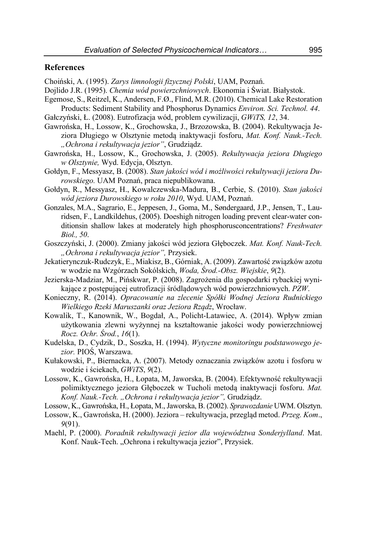#### **References**

Choiński, A. (1995). *Zarys limnologii fizycznej Polski*, UAM, Poznań.

- Dojlido J.R. (1995). *Chemia wód powierzchniowych*. Ekonomia i Świat. Białystok.
- Egemose, S., Reitzel, K., Andersen, F.Ø., Flind, M.R. (2010). Chemical Lake Restoration Products: Sediment Stability and Phosphorus Dynamics *Environ. Sci. Technol. 44*.
- Gałczyński, Ł. (2008). Eutrofizacja wód, problem cywilizacji, *GWiTS, 12*, 34.
- Gawrońska, H., Lossow, K., Grochowska, J., Brzozowska, B. (2004). Rekultywacja Jeziora Długiego w Olsztynie metodą inaktywacji fosforu, *Mat. Konf. Nauk.-Tech. "Ochrona i rekultywacja jezior"*, Grudziądz.
- Gawrońska, H., Lossow, K., Grochowska, J. (2005). *Rekultywacja jeziora Długiego w Olsztynie,* Wyd. Edycja, Olsztyn.
- Gołdyn, F., Messyasz, B. (2008). *Stan jakości wód i możliwości rekultywacji jeziora Durowskiego.* UAM Poznań, praca niepublikowana.
- Gołdyn, R., Messyasz, H., Kowalczewska-Madura, B., Cerbie, S. (2010). *Stan jakości wód jeziora Durowskiego w roku 2010*, Wyd. UAM, Poznań.
- Gonzales, M.A., Sagrario, E., Jeppesen, J., Goma, M., Søndergaard, J.P., Jensen, T., Lauridsen, F., Landkildehus, (2005). Doeshigh nitrogen loading prevent clear-water conditionsin shallow lakes at moderately high phosphorusconcentrations? *Freshwater Biol., 50*.
- Goszczyński, J. (2000). Zmiany jakości wód jeziora Głęboczek. *Mat. Konf. Nauk-Tech. "Ochrona i rekultywacja jezior",* Przysiek.
- Jekatierynczuk-Rudczyk, E., Miakisz, B., Górniak, A. (2009). Zawartość związków azotu w wodzie na Wzgórzach Sokólskich, *Woda, Środ.-Obsz. Wiejskie*, *9*(2).
- Jezierska-Madziar, M., Pińskwar, P. (2008). Zagrożenia dla gospodarki rybackiej wynikające z postępującej eutrofizacji śródlądowych wód powierzchniowych. *PZW*.
- Konieczny, R. (2014). *Opracowanie na zlecenie Spółki Wodnej Jeziora Rudnickiego Wielkiego Rzeki Maruszanki oraz Jeziora Rządz*, Wrocław.
- Kowalik, T., Kanownik, W., Bogdał, A., Policht-Latawiec, A. (2014). Wpływ zmian użytkowania zlewni wyżynnej na kształtowanie jakości wody powierzchniowej *Rocz. Ochr. Środ.*, *16*(1).
- Kudelska, D., Cydzik, D., Soszka, H. (1994). *Wytyczne monitoringu podstawowego jezior.* PIOŚ, Warszawa.
- Kułakowski, P., Biernacka, A. (2007). Metody oznaczania związków azotu i fosforu w wodzie i ściekach, *GWiTS*, *9*(2).
- Lossow, K., Gawrońska, H., Łopata, M, Jaworska, B. (2004). Efektywność rekultywacji polimiktycznego jeziora Głęboczek w Tucholi metodą inaktywacji fosforu. *Mat. Konf. Nauk.-Tech. "Ochrona i rekultywacja jezior",* Grudziądz.
- Lossow, K., Gawrońska, H., Łopata, M., Jaworska, B. (2002). *Sprawozdanie* UWM. Olsztyn.
- Lossow, K., Gawrońska, H. (2000). Jeziora rekultywacja, przegląd metod. *Przeg. Kom*., *9*(91).
- Maehl, P. (2000). *Poradnik rekultywacji jezior dla województwa Sonderjylland*. Mat. Konf. Nauk-Tech. "Ochrona i rekultywacja jezior", Przysiek.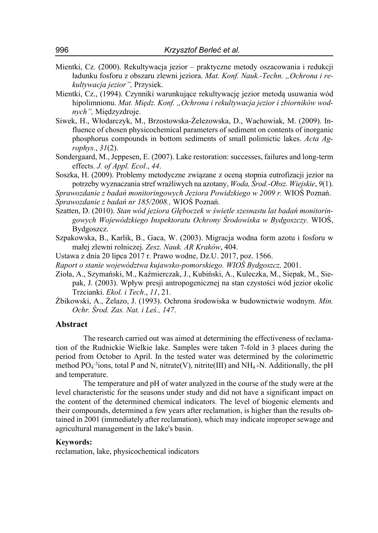- Mientki, Cz. (2000). Rekultywacja jezior praktyczne metody oszacowania i redukcji ładunku fosforu z obszaru zlewni jeziora. *Mat. Konf. Nauk.-Techn. "Ochrona i rekultywacja jezior",* Przysiek.
- Mientki, Cz., (1994). Czynniki warunkujące rekultywację jezior metodą usuwania wód hipolimnionu. *Mat. Międz. Konf. "Ochrona i rekultywacja jezior i zbiorników wodnych",* Międzyzdroje.
- Siwek, H., Włodarczyk, M., Brzostowska-Żelezowska, D., Wachowiak, M. (2009). Influence of chosen physicochemical parameters of sediment on contents of inorganic phosphorus compounds in bottom sediments of small polimictic lakes. *Acta Agrophys.*, *31*(2).
- Sondergaard, M., Jeppesen, E. (2007). Lake restoration: successes, failures and long-term effects. *J. of Appl. Ecol.*, *44*.
- Soszka, H. (2009). Problemy metodyczne związane z oceną stopnia eutrofizacji jezior na potrzeby wyznaczania stref wrażliwych na azotany, *Woda, Środ.-Obsz. Wiejskie*, *9*(1).

*Sprawozdanie z badań monitoringowych Jeziora Powidzkiego w 2009 r.* WIOŚ Poznań. *Sprawozdanie z badań nr 185/2008.,* WIOŚ Poznań.

- Szatten, D. (2010). *Stan wód jeziora Głęboczek w świetle szesnastu lat badań monitoringowych Wojewódzkiego Inspektoratu Ochrony Środowiska w Bydgoszczy.* WIOŚ, Bydgoszcz.
- Szpakowska, B., Karlik, B., Gaca, W. (2003). Migracja wodna form azotu i fosforu w małej zlewni rolniczej. *Zesz. Nauk. AR Kraków*, 404.
- Ustawa z dnia 20 lipca 2017 r. Prawo wodne, Dz.U. 2017, poz. 1566.
- *Raport o stanie województwa kujawsko-pomorskiego. WIOŚ Bydgoszcz,* 2001.
- Zioła, A., Szymański, M., Kaźmierczak, J., Kubiński, A., Kuleczka, M., Siepak, M., Siepak, J. (2003). Wpływ presji antropogenicznej na stan czystości wód jezior okolic Trzcianki. *Ekol. i Tech*., *11*, 21.
- Żbikowski, A., Żelazo, J. (1993). Ochrona środowiska w budownictwie wodnym. *Min. Ochr. Środ. Zas. Nat. i Leś., 147*.

#### **Abstract**

The research carried out was aimed at determining the effectiveness of reclamation of the Rudnickie Wielkie lake. Samples were taken 7-fold in 3 places during the period from October to April. In the tested water was determined by the colorimetric method  $PO_4$ <sup>-3</sup>ions, total P and N, nitrate(V), nitrite(III) and NH<sub>4</sub>-N. Additionally, the pH and temperature.

The temperature and pH of water analyzed in the course of the study were at the level characteristic for the seasons under study and did not have a significant impact on the content of the determined chemical indicators. The level of biogenic elements and their compounds, determined a few years after reclamation, is higher than the results obtained in 2001 (immediately after reclamation), which may indicate improper sewage and agricultural management in the lake's basin.

#### **Keywords:**

reclamation, lake, physicochemical indicators